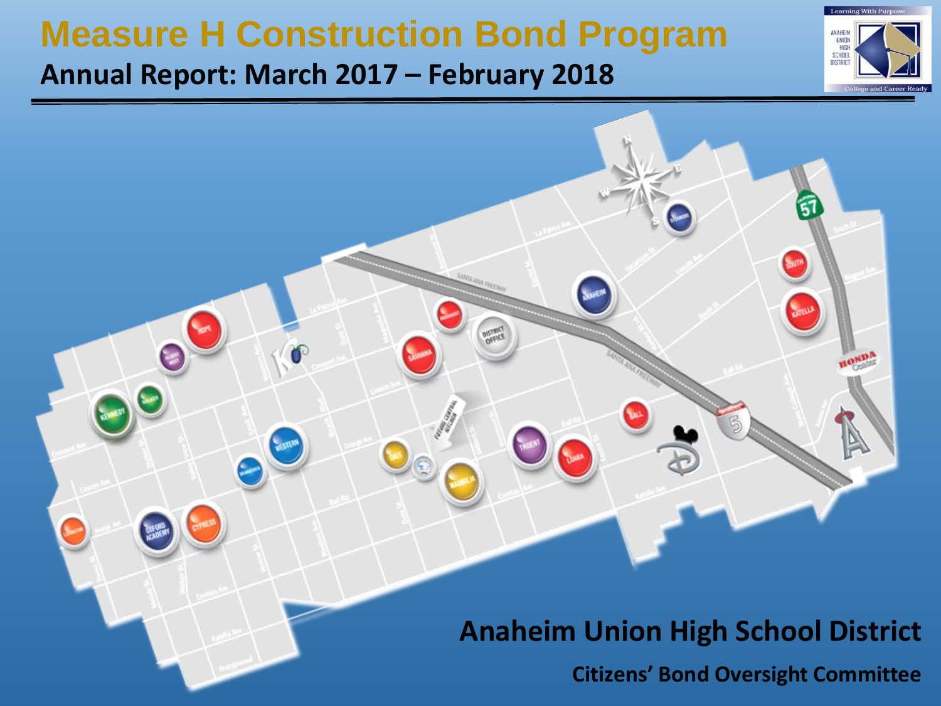### **Measure H Construction Bond Program**

### **Annual Report: March 2017 – February 2018**





### **Anaheim Union High School District**

**Citizens' Bond Oversight Committee**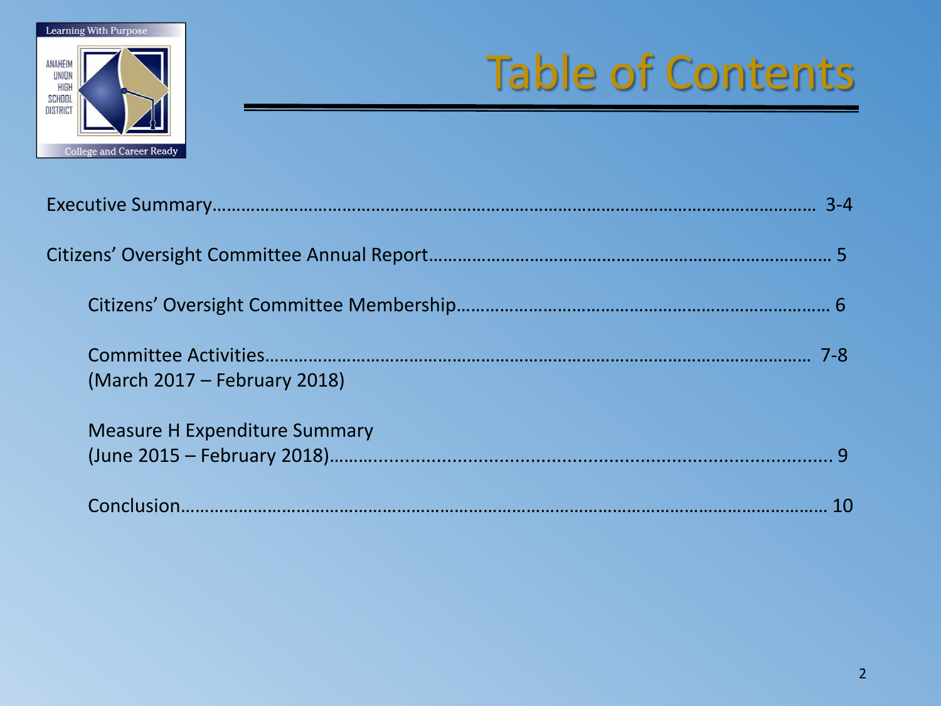

# Table of Contents

| (March 2017 – February 2018)         |  |
|--------------------------------------|--|
| <b>Measure H Expenditure Summary</b> |  |
|                                      |  |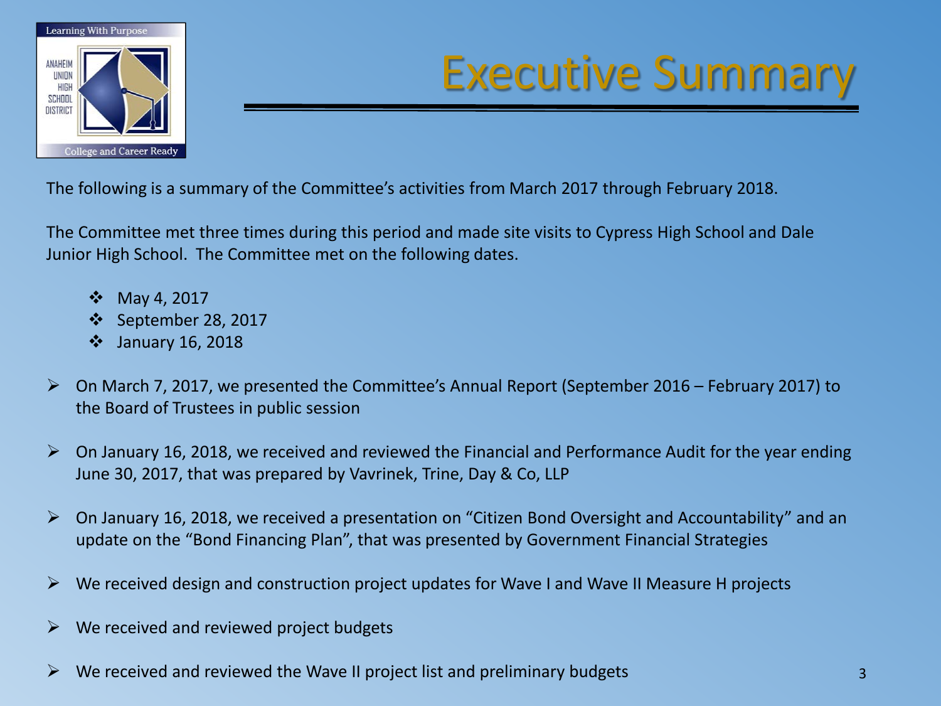

### Executive Summary

The following is a summary of the Committee's activities from March 2017 through February 2018.

The Committee met three times during this period and made site visits to Cypress High School and Dale Junior High School. The Committee met on the following dates.

- May 4, 2017
- September 28, 2017
- January 16, 2018
- On March 7, 2017, we presented the Committee's Annual Report (September 2016 February 2017) to the Board of Trustees in public session
- $\triangleright$  On January 16, 2018, we received and reviewed the Financial and Performance Audit for the year ending June 30, 2017, that was prepared by Vavrinek, Trine, Day & Co, LLP
- On January 16, 2018, we received a presentation on "Citizen Bond Oversight and Accountability" and an update on the "Bond Financing Plan", that was presented by Government Financial Strategies
- $\triangleright$  We received design and construction project updates for Wave I and Wave II Measure H projects
- $\triangleright$  We received and reviewed project budgets
- We received and reviewed the Wave II project list and preliminary budgets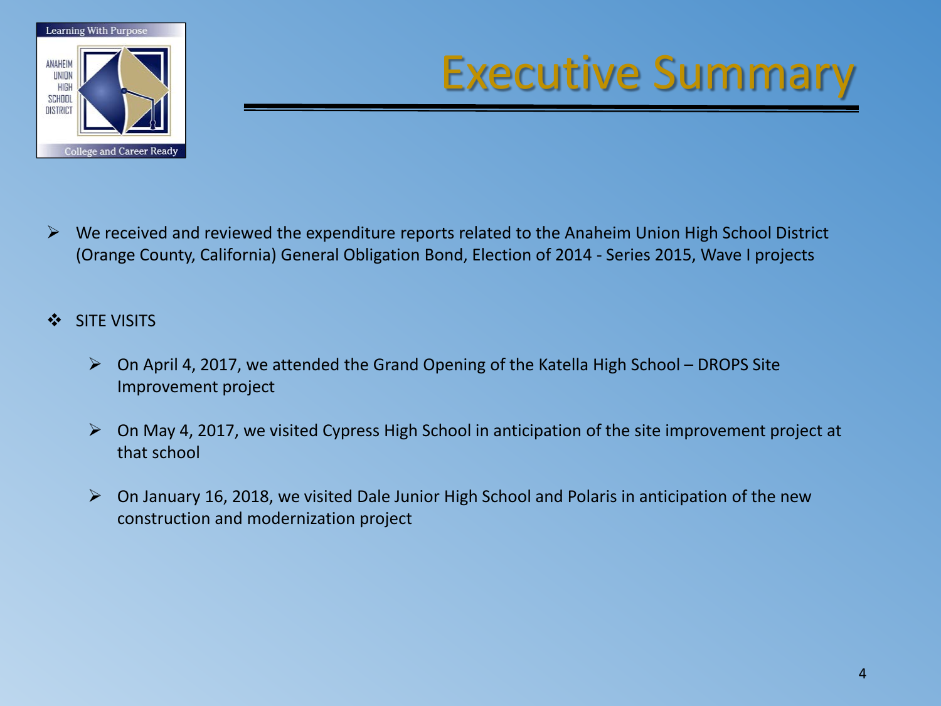

### Executive Summary

- $\triangleright$  We received and reviewed the expenditure reports related to the Anaheim Union High School District (Orange County, California) General Obligation Bond, Election of 2014 - Series 2015, Wave I projects
- SITE VISITS
	- $\triangleright$  On April 4, 2017, we attended the Grand Opening of the Katella High School DROPS Site Improvement project
	- $\triangleright$  On May 4, 2017, we visited Cypress High School in anticipation of the site improvement project at that school
	- $\triangleright$  On January 16, 2018, we visited Dale Junior High School and Polaris in anticipation of the new construction and modernization project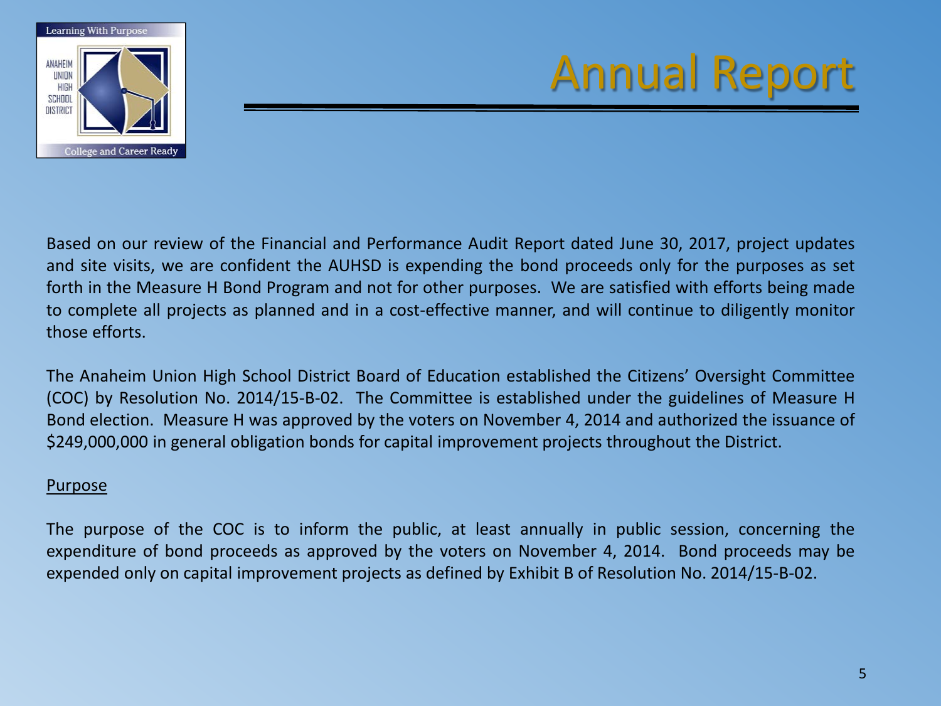

Based on our review of the Financial and Performance Audit Report dated June 30, 2017, project updates and site visits, we are confident the AUHSD is expending the bond proceeds only for the purposes as set forth in the Measure H Bond Program and not for other purposes. We are satisfied with efforts being made to complete all projects as planned and in a cost-effective manner, and will continue to diligently monitor those efforts.

The Anaheim Union High School District Board of Education established the Citizens' Oversight Committee (COC) by Resolution No. 2014/15-B-02. The Committee is established under the guidelines of Measure H Bond election. Measure H was approved by the voters on November 4, 2014 and authorized the issuance of \$249,000,000 in general obligation bonds for capital improvement projects throughout the District.

#### Purpose

The purpose of the COC is to inform the public, at least annually in public session, concerning the expenditure of bond proceeds as approved by the voters on November 4, 2014. Bond proceeds may be expended only on capital improvement projects as defined by Exhibit B of Resolution No. 2014/15-B-02.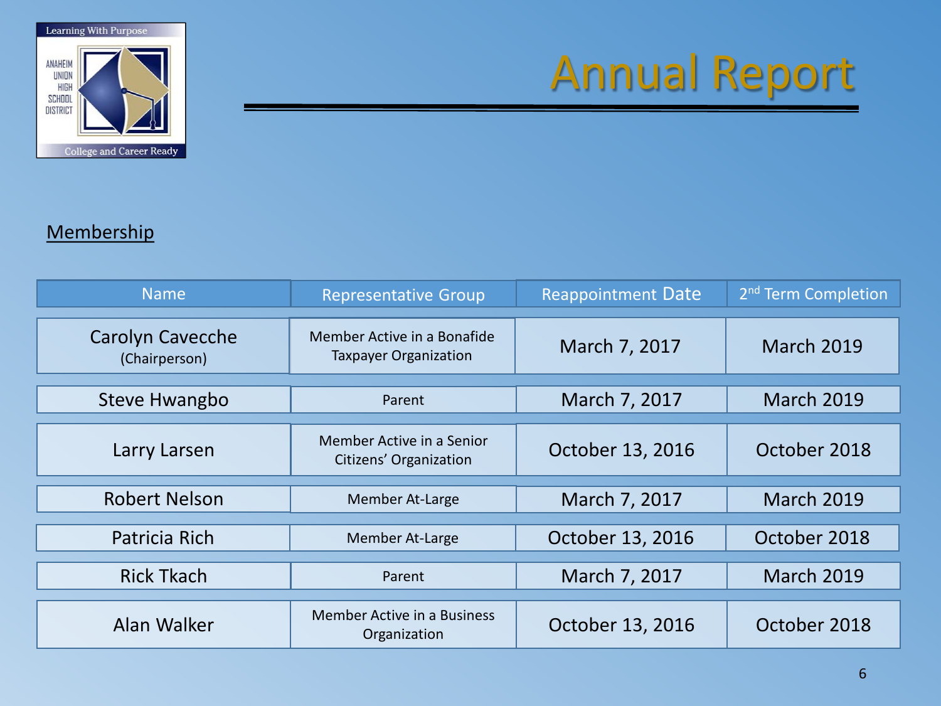

#### **Membership**

| <b>Name</b>                              | <b>Representative Group</b>                                 | <b>Reappointment Date</b>          | 2 <sup>nd</sup> Term Completion |
|------------------------------------------|-------------------------------------------------------------|------------------------------------|---------------------------------|
| <b>Carolyn Cavecche</b><br>(Chairperson) | Member Active in a Bonafide<br><b>Taxpayer Organization</b> | March 7, 2017<br><b>March 2019</b> |                                 |
| <b>Steve Hwangbo</b>                     | Parent                                                      | March 7, 2017                      | <b>March 2019</b>               |
| Larry Larsen                             | Member Active in a Senior<br>Citizens' Organization         | October 13, 2016                   | October 2018                    |
| <b>Robert Nelson</b>                     | Member At-Large                                             | March 7, 2017                      | <b>March 2019</b>               |
| Patricia Rich                            | Member At-Large                                             | October 13, 2016<br>October 2018   |                                 |
| <b>Rick Tkach</b>                        | Parent                                                      | March 7, 2017                      | <b>March 2019</b>               |
| Alan Walker                              | Member Active in a Business<br>Organization                 | October 13, 2016                   | October 2018                    |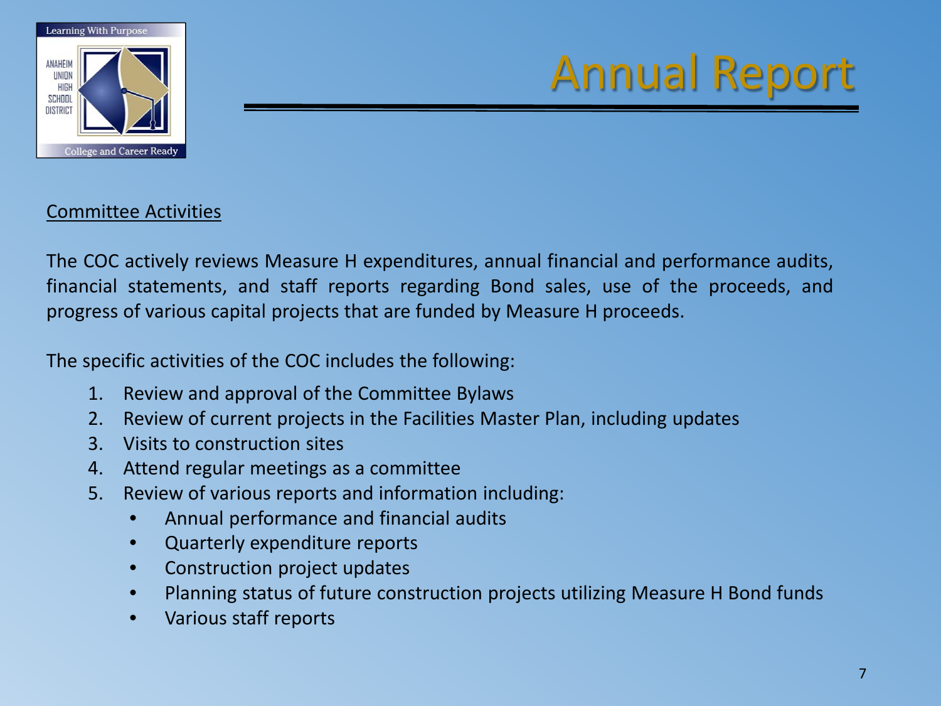

#### Committee Activities

The COC actively reviews Measure H expenditures, annual financial and performance audits, financial statements, and staff reports regarding Bond sales, use of the proceeds, and progress of various capital projects that are funded by Measure H proceeds.

The specific activities of the COC includes the following:

- 1. Review and approval of the Committee Bylaws
- 2. Review of current projects in the Facilities Master Plan, including updates
- 3. Visits to construction sites
- 4. Attend regular meetings as a committee
- 5. Review of various reports and information including:
	- Annual performance and financial audits
	- Quarterly expenditure reports
	- Construction project updates
	- Planning status of future construction projects utilizing Measure H Bond funds
	- Various staff reports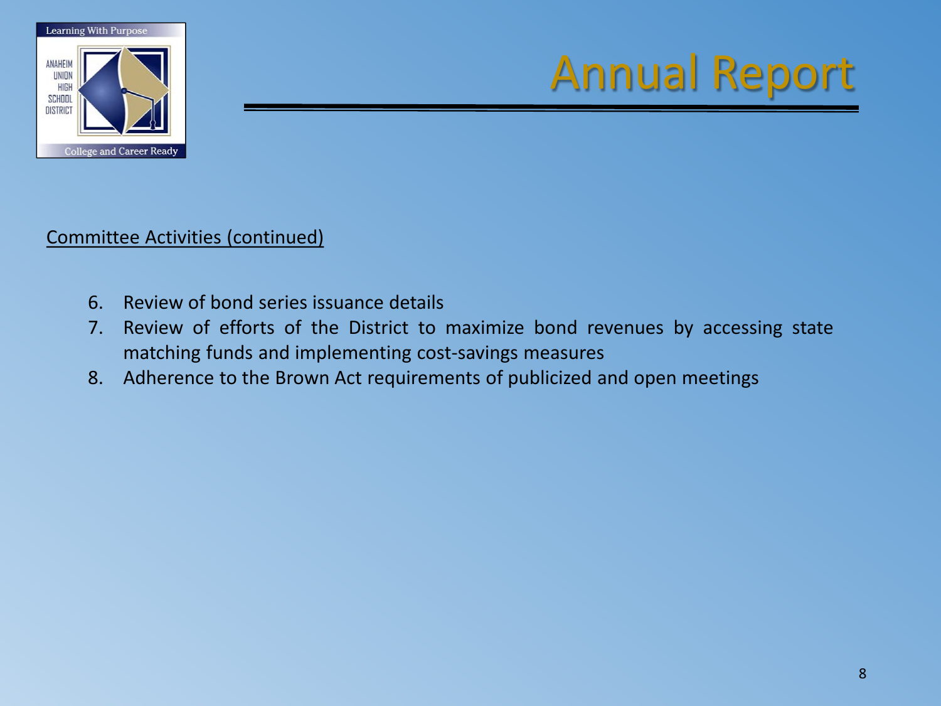

Committee Activities (continued)

- 6. Review of bond series issuance details
- 7. Review of efforts of the District to maximize bond revenues by accessing state matching funds and implementing cost-savings measures
- 8. Adherence to the Brown Act requirements of publicized and open meetings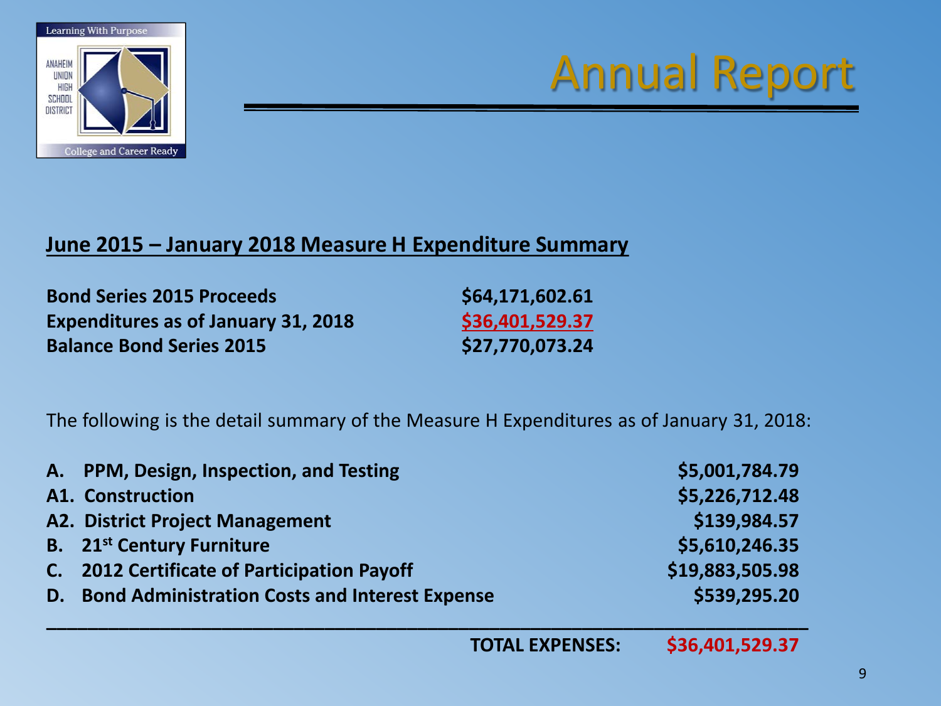

### **June 2015 – January 2018 Measure H Expenditure Summary**

**Bond Series 2015 Proceeds \$64,171,602.61 Expenditures as of January 31, 2018 \$36,401,529.37 Balance Bond Series 2015 \$27,770,073.24**

The following is the detail summary of the Measure H Expenditures as of January 31, 2018:

| A. PPM, Design, Inspection, and Testing           | \$5,001,784.79  |
|---------------------------------------------------|-----------------|
| <b>A1. Construction</b>                           | \$5,226,712.48  |
| <b>A2. District Project Management</b>            | \$139,984.57    |
| <b>B.</b> 21 <sup>st</sup> Century Furniture      | \$5,610,246.35  |
| C. 2012 Certificate of Participation Payoff       | \$19,883,505.98 |
| D. Bond Administration Costs and Interest Expense | \$539,295.20    |

**\_\_\_\_\_\_\_\_\_\_\_\_\_\_\_\_\_\_\_\_\_\_\_\_\_\_\_\_\_\_\_\_\_\_\_\_\_\_\_\_\_\_\_\_\_\_\_\_\_\_\_\_\_\_\_\_\_\_\_\_\_\_\_\_\_\_\_\_\_\_\_\_\_\_**

**TOTAL EXPENSES: \$36,401,529.37**